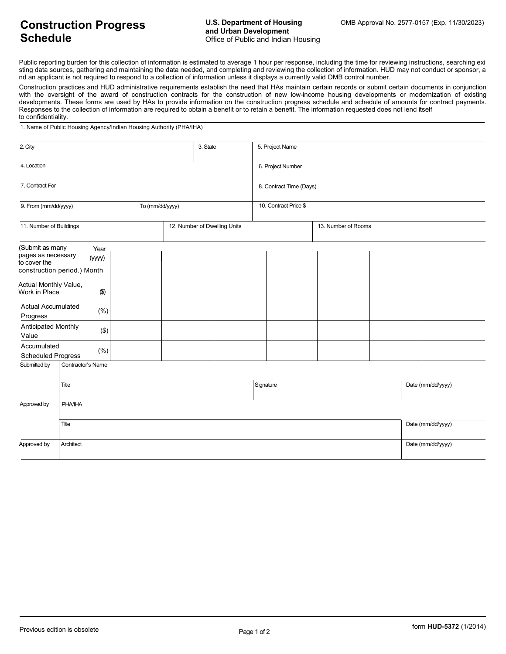## **Construction Progress Schedule**

Public reporting burden for this collection of information is estimated to average 1 hour per response, including the time for reviewing instructions, searching exi sting data sources, gathering and maintaining the data needed, and completing and reviewing the collection of information. HUD may not conduct or sponsor, a nd an applicant is not required to respond to a collection of information unless it displays a currently valid OMB control number.

Construction practices and HUD administrative requirements establish the need that HAs maintain certain records or submit certain documents in conjunction with the oversight of the award of construction contracts for the construction of new low-income housing developments or modernization of existing developments. These forms are used by HAs to provide information on the construction progress schedule and schedule of amounts for contract payments. Responses to the collection of information are required to obtain a benefit or to retain a benefit. The information requested does not lend itself to confidentiality.

1. Name of Public Housing Agency/Indian Housing Authority (PHA/IHA)

| 2. City                                          |                   |  |                              | 3. State |                         |                     | 5. Project Name |  |                   |                   |  |  |
|--------------------------------------------------|-------------------|--|------------------------------|----------|-------------------------|---------------------|-----------------|--|-------------------|-------------------|--|--|
| 4. Location                                      |                   |  |                              |          | 6. Project Number       |                     |                 |  |                   |                   |  |  |
| 7. Contract For                                  |                   |  |                              |          | 8. Contract Time (Days) |                     |                 |  |                   |                   |  |  |
| 9. From (mm/dd/yyyy)<br>To (mm/dd/yyyy)          |                   |  |                              |          | 10. Contract Price \$   |                     |                 |  |                   |                   |  |  |
| 11. Number of Buildings                          |                   |  | 12. Number of Dwelling Units |          |                         | 13. Number of Rooms |                 |  |                   |                   |  |  |
| (Submit as many                                  | Year              |  |                              |          |                         |                     |                 |  |                   |                   |  |  |
| pages as necessary<br>(WW)                       |                   |  |                              |          |                         |                     |                 |  |                   |                   |  |  |
| to cover the<br>construction period.) Month      |                   |  |                              |          |                         |                     |                 |  |                   |                   |  |  |
| Actual Monthly Value,<br>$(\$)$<br>Work in Place |                   |  |                              |          |                         |                     |                 |  |                   |                   |  |  |
| <b>Actual Accumulated</b><br>(% )<br>Progress    |                   |  |                              |          |                         |                     |                 |  |                   |                   |  |  |
| Anticipated Monthly<br>$(\$)$<br>Value           |                   |  |                              |          |                         |                     |                 |  |                   |                   |  |  |
| Accumulated<br>(% )<br><b>Scheduled Progress</b> |                   |  |                              |          |                         |                     |                 |  |                   |                   |  |  |
| Submitted by                                     | Contractor's Name |  |                              |          |                         |                     |                 |  |                   |                   |  |  |
|                                                  | Title             |  |                              |          |                         | Signature           |                 |  |                   | Date (mm/dd/yyyy) |  |  |
| Approved by                                      | <b>PHA/IHA</b>    |  |                              |          |                         |                     |                 |  |                   |                   |  |  |
|                                                  | Title             |  |                              |          |                         |                     |                 |  |                   | Date (mm/dd/yyyy) |  |  |
| Approved by                                      | Architect         |  |                              |          |                         |                     |                 |  | Date (mm/dd/yyyy) |                   |  |  |